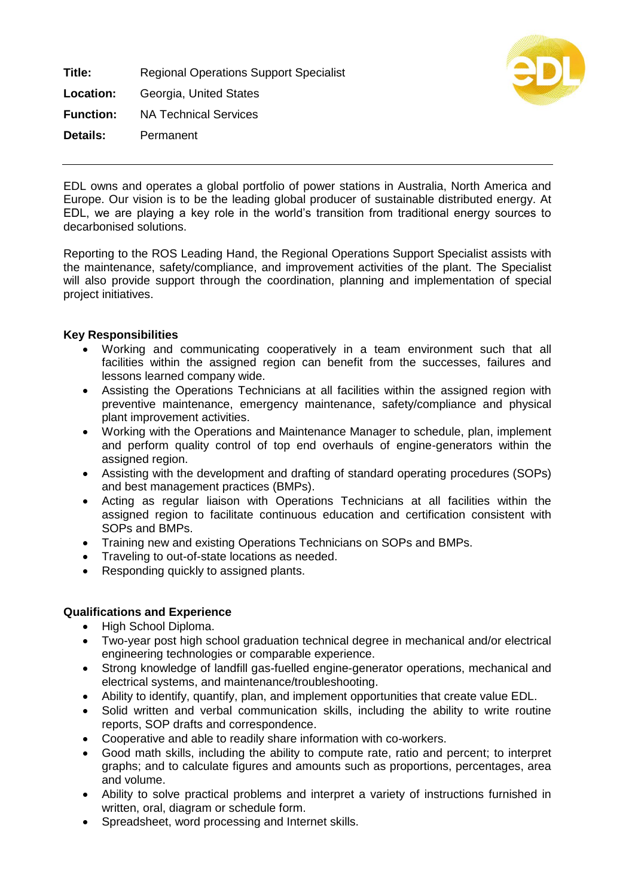**Title:** Regional Operations Support Specialist **Location:** Georgia, United States **Function:** NA Technical Services **Details:** Permanent



EDL owns and operates a global portfolio of power stations in Australia, North America and Europe. Our vision is to be the leading global producer of sustainable distributed energy. At EDL, we are playing a key role in the world's transition from traditional energy sources to decarbonised solutions.

Reporting to the ROS Leading Hand, the Regional Operations Support Specialist assists with the maintenance, safety/compliance, and improvement activities of the plant. The Specialist will also provide support through the coordination, planning and implementation of special project initiatives.

## **Key Responsibilities**

- Working and communicating cooperatively in a team environment such that all facilities within the assigned region can benefit from the successes, failures and lessons learned company wide.
- Assisting the Operations Technicians at all facilities within the assigned region with preventive maintenance, emergency maintenance, safety/compliance and physical plant improvement activities.
- Working with the Operations and Maintenance Manager to schedule, plan, implement and perform quality control of top end overhauls of engine-generators within the assigned region.
- Assisting with the development and drafting of standard operating procedures (SOPs) and best management practices (BMPs).
- Acting as regular liaison with Operations Technicians at all facilities within the assigned region to facilitate continuous education and certification consistent with SOPs and BMPs.
- Training new and existing Operations Technicians on SOPs and BMPs.
- Traveling to out-of-state locations as needed.
- Responding quickly to assigned plants.

## **Qualifications and Experience**

- High School Diploma.
- Two-year post high school graduation technical degree in mechanical and/or electrical engineering technologies or comparable experience.
- Strong knowledge of landfill gas-fuelled engine-generator operations, mechanical and electrical systems, and maintenance/troubleshooting.
- Ability to identify, quantify, plan, and implement opportunities that create value EDL.
- Solid written and verbal communication skills, including the ability to write routine reports, SOP drafts and correspondence.
- Cooperative and able to readily share information with co-workers.
- Good math skills, including the ability to compute rate, ratio and percent; to interpret graphs; and to calculate figures and amounts such as proportions, percentages, area and volume.
- Ability to solve practical problems and interpret a variety of instructions furnished in written, oral, diagram or schedule form.
- Spreadsheet, word processing and Internet skills.